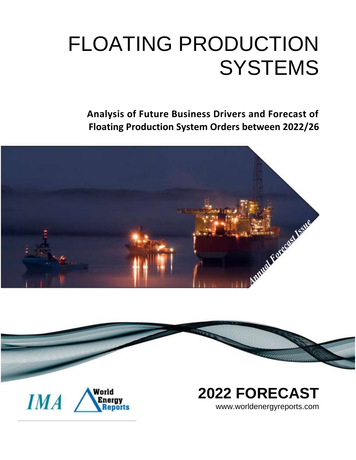## FLOATING PRODUCTION **SYSTEMS**

**Analysis of Future Business Drivers and Forecast of Floating Production System Orders between 2022/26**







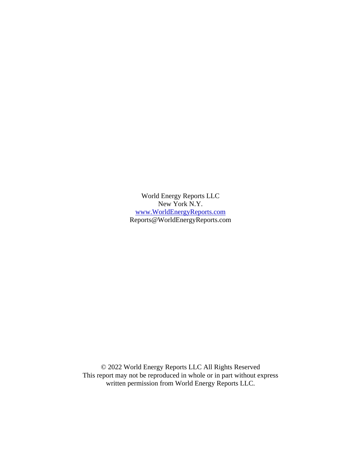World Energy Reports LLC New York N.Y. [www.WorldEnergyReports.com](https://www.worldenergyreports.com/) Reports@WorldEnergyReports.com

© 2022 World Energy Reports LLC All Rights Reserved This report may not be reproduced in whole or in part without express written permission from World Energy Reports LLC.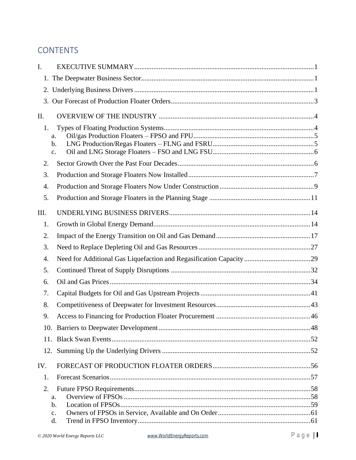## **CONTENTS**

| I.   |                     |  |
|------|---------------------|--|
|      |                     |  |
|      |                     |  |
|      |                     |  |
| Π.   |                     |  |
| 1.   |                     |  |
|      | a.                  |  |
|      | $\mathbf b$ .<br>c. |  |
| 2.   |                     |  |
| 3.   |                     |  |
| 4.   |                     |  |
| 5.   |                     |  |
| III. |                     |  |
| 1.   |                     |  |
| 2.   |                     |  |
| 3.   |                     |  |
| 4.   |                     |  |
| 5.   |                     |  |
| 6.   |                     |  |
| 7.   |                     |  |
| 8.   |                     |  |
| 9.   |                     |  |
|      |                     |  |
|      |                     |  |
|      |                     |  |
| IV.  |                     |  |
| 1.   |                     |  |
| 2.   |                     |  |
|      | a.                  |  |
|      | b.                  |  |
|      | c.<br>d.            |  |
|      |                     |  |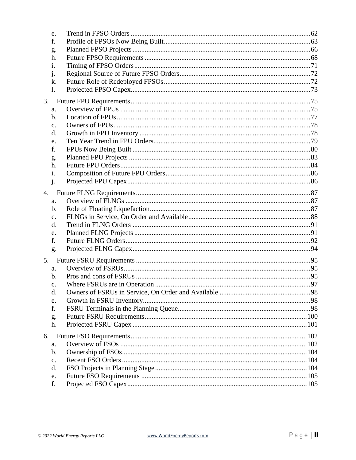|             | e.             |  |
|-------------|----------------|--|
| f.          |                |  |
|             | g.             |  |
|             | h.             |  |
| 1.          |                |  |
| $\cdot$     |                |  |
|             | k.             |  |
| 1.          |                |  |
| 3.          |                |  |
|             | a.             |  |
|             | $\mathbf{b}$ . |  |
|             | $C_{\bullet}$  |  |
|             | $\mathbf{d}$ . |  |
|             | e.             |  |
| f.          |                |  |
|             | g.             |  |
|             | h.             |  |
| 1.          |                |  |
| $\dot{J}$ . |                |  |
| 4.          |                |  |
|             | a.             |  |
|             | $\mathbf b$ .  |  |
|             | $\mathbf{c}$ . |  |
|             | d.             |  |
|             | e.             |  |
| f.          |                |  |
|             | g.             |  |
| 5.          |                |  |
|             | a.             |  |
|             | b.             |  |
|             | $\mathbf{c}$ . |  |
|             | d.             |  |
|             | e.             |  |
| f.          |                |  |
|             | g.             |  |
|             | h.             |  |
| 6.          |                |  |
|             | a.             |  |
|             | $\mathbf b$ .  |  |
|             | $\mathbf{c}$ . |  |
|             | d.             |  |
|             | e.             |  |
| f.          |                |  |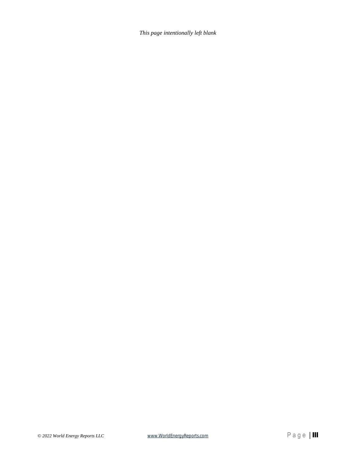*This page intentionally left blank*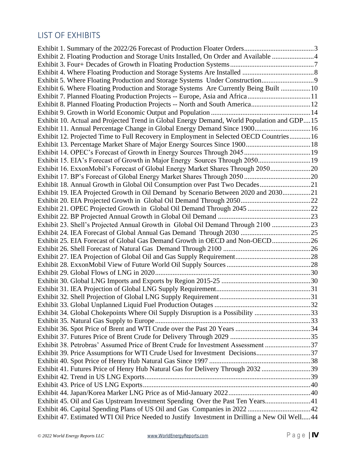## LIST OF EXHIBITS

| Exhibit 2. Floating Production and Storage Units Installed, On Order and Available 4           |  |
|------------------------------------------------------------------------------------------------|--|
|                                                                                                |  |
|                                                                                                |  |
| Exhibit 5. Where Floating Production and Storage Systems Under Construction9                   |  |
| Exhibit 6. Where Floating Production and Storage Systems Are Currently Being Built  10         |  |
| Exhibit 7. Planned Floating Production Projects -- Europe, Asia and Africa11                   |  |
| Exhibit 8. Planned Floating Production Projects -- North and South America12                   |  |
|                                                                                                |  |
| Exhibit 10. Actual and Projected Trend in Global Energy Demand, World Population and GDP15     |  |
| Exhibit 11. Annual Percentage Change in Global Energy Demand Since 190016                      |  |
| Exhibit 12. Projected Time to Full Recovery in Employment in Selected OECD Countries 16        |  |
|                                                                                                |  |
|                                                                                                |  |
|                                                                                                |  |
| Exhibit 16. ExxonMobil's Forecast of Global Energy Market Shares Through 205020                |  |
|                                                                                                |  |
| Exhibit 18. Annual Growth in Global Oil Consumption over Past Two Decades21                    |  |
| Exhibit 19. IEA Projected Growth in Oil Demand by Scenario Between 2020 and 203021             |  |
|                                                                                                |  |
|                                                                                                |  |
|                                                                                                |  |
| Exhibit 23. Shell's Projected Annual Growth in Global Oil Demand Through 2100 23               |  |
|                                                                                                |  |
| Exhibit 25. EIA Forecast of Global Gas Demand Growth in OECD and Non-OECD26                    |  |
|                                                                                                |  |
|                                                                                                |  |
|                                                                                                |  |
|                                                                                                |  |
|                                                                                                |  |
|                                                                                                |  |
|                                                                                                |  |
|                                                                                                |  |
| Exhibit 34. Global Chokepoints Where Oil Supply Disruption is a Possibility 33                 |  |
|                                                                                                |  |
|                                                                                                |  |
|                                                                                                |  |
| Exhibit 38. Petrobras' Assumed Price of Brent Crude for Investment Assessment 37               |  |
| Exhibit 39. Price Assumptions for WTI Crude Used for Investment Decisions37                    |  |
|                                                                                                |  |
| Exhibit 41. Futures Price of Henry Hub Natural Gas for Delivery Through 2032 39                |  |
|                                                                                                |  |
|                                                                                                |  |
|                                                                                                |  |
| Exhibit 45. Oil and Gas Upstream Investment Spending Over the Past Ten Years 41                |  |
|                                                                                                |  |
| Exhibit 47. Estimated WTI Oil Price Needed to Justify Investment in Drilling a New Oil Well 44 |  |